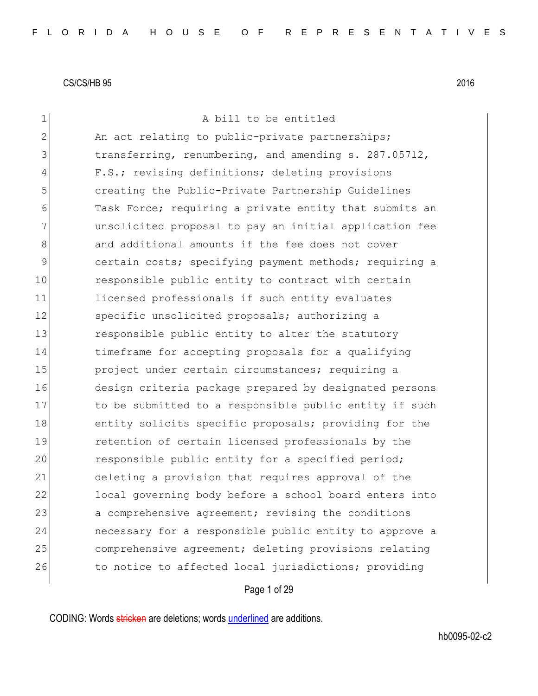| $\mathbf 1$   | A bill to be entitled                                  |
|---------------|--------------------------------------------------------|
| $\mathbf{2}$  | An act relating to public-private partnerships;        |
| 3             | transferring, renumbering, and amending s. 287.05712,  |
| 4             | F.S.; revising definitions; deleting provisions        |
| 5             | creating the Public-Private Partnership Guidelines     |
| 6             | Task Force; requiring a private entity that submits an |
| 7             | unsolicited proposal to pay an initial application fee |
| 8             | and additional amounts if the fee does not cover       |
| $\mathcal{G}$ | certain costs; specifying payment methods; requiring a |
| 10            | responsible public entity to contract with certain     |
| 11            | licensed professionals if such entity evaluates        |
| 12            | specific unsolicited proposals; authorizing a          |
| 13            | responsible public entity to alter the statutory       |
| 14            | timeframe for accepting proposals for a qualifying     |
| 15            | project under certain circumstances; requiring a       |
| 16            | design criteria package prepared by designated persons |
| 17            | to be submitted to a responsible public entity if such |
| 18            | entity solicits specific proposals; providing for the  |
| 19            | retention of certain licensed professionals by the     |
| 20            | responsible public entity for a specified period;      |
| 21            | deleting a provision that requires approval of the     |
| 22            | local governing body before a school board enters into |
| 23            | a comprehensive agreement; revising the conditions     |
| 24            | necessary for a responsible public entity to approve a |
| 25            | comprehensive agreement; deleting provisions relating  |
| 26            | to notice to affected local jurisdictions; providing   |
|               |                                                        |

Page 1 of 29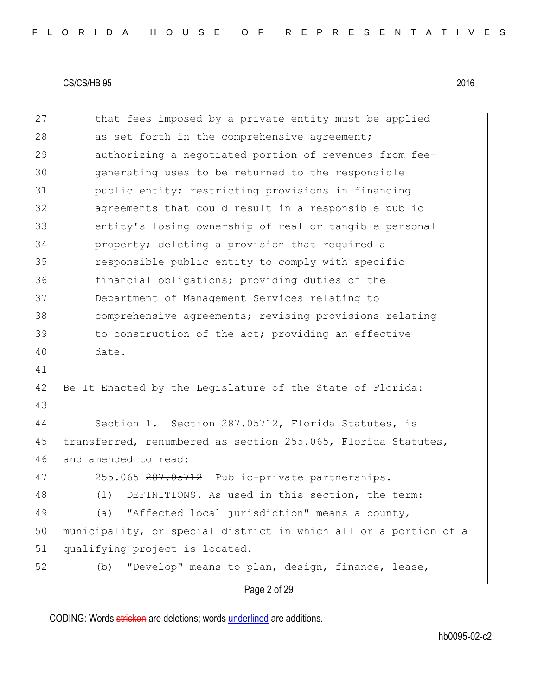Page 2 of 29 27 that fees imposed by a private entity must be applied 28 as set forth in the comprehensive agreement; 29 authorizing a negotiated portion of revenues from fee-30 generating uses to be returned to the responsible 31 public entity; restricting provisions in financing 32 agreements that could result in a responsible public 33 entity's losing ownership of real or tangible personal 34 property; deleting a provision that required a 35 responsible public entity to comply with specific 36 financial obligations; providing duties of the 37 Department of Management Services relating to 38 comprehensive agreements; revising provisions relating 39 to construction of the act; providing an effective 40 date. 41 42 Be It Enacted by the Legislature of the State of Florida: 43 44 Section 1. Section 287.05712, Florida Statutes, is 45 transferred, renumbered as section 255.065, Florida Statutes, 46 and amended to read: 47 255.065 287.05712 Public-private partnerships. 48 (1) DEFINITIONS.—As used in this section, the term: 49 (a) "Affected local jurisdiction" means a county, 50 municipality, or special district in which all or a portion of a 51 qualifying project is located. 52 (b) "Develop" means to plan, design, finance, lease,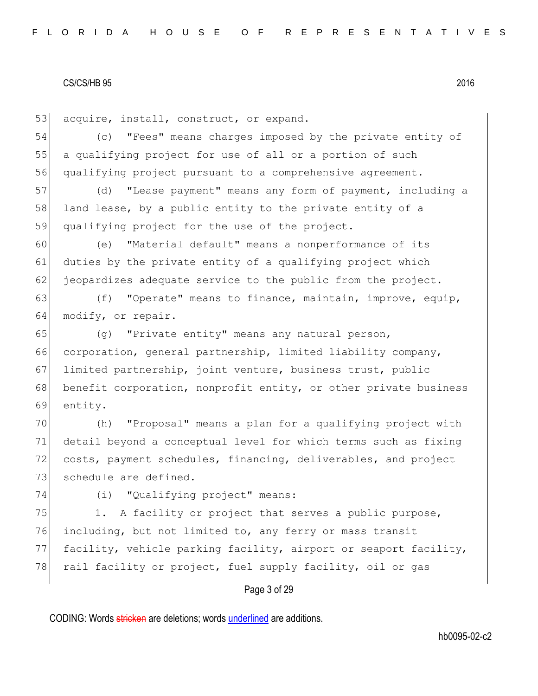53 acquire, install, construct, or expand.

54 (c) "Fees" means charges imposed by the private entity of 55 a qualifying project for use of all or a portion of such 56 qualifying project pursuant to a comprehensive agreement.

57 (d) "Lease payment" means any form of payment, including a 58 land lease, by a public entity to the private entity of a 59 qualifying project for the use of the project.

60 (e) "Material default" means a nonperformance of its 61 duties by the private entity of a qualifying project which  $62$  jeopardizes adequate service to the public from the project.

63 (f) "Operate" means to finance, maintain, improve, equip, 64 modify, or repair.

65 (g) "Private entity" means any natural person, 66 corporation, general partnership, limited liability company, 67 limited partnership, joint venture, business trust, public 68 benefit corporation, nonprofit entity, or other private business 69 entity.

 (h) "Proposal" means a plan for a qualifying project with detail beyond a conceptual level for which terms such as fixing costs, payment schedules, financing, deliverables, and project 73 schedule are defined.

74 (i) "Qualifying project" means:

75 1. A facility or project that serves a public purpose, 76 including, but not limited to, any ferry or mass transit 77 facility, vehicle parking facility, airport or seaport facility, 78 rail facility or project, fuel supply facility, oil or gas

## Page 3 of 29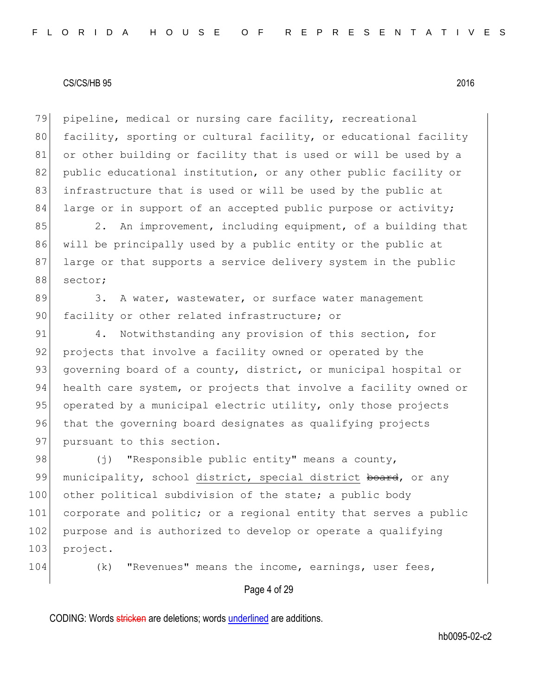79 pipeline, medical or nursing care facility, recreational 80 facility, sporting or cultural facility, or educational facility 81 or other building or facility that is used or will be used by a 82 public educational institution, or any other public facility or 83 infrastructure that is used or will be used by the public at 84 large or in support of an accepted public purpose or activity;

85 2. An improvement, including equipment, of a building that 86 will be principally used by a public entity or the public at 87 large or that supports a service delivery system in the public 88 sector;

89 3. A water, wastewater, or surface water management 90 facility or other related infrastructure; or

91 4. Notwithstanding any provision of this section, for 92 projects that involve a facility owned or operated by the 93 governing board of a county, district, or municipal hospital or 94 health care system, or projects that involve a facility owned or 95 operated by a municipal electric utility, only those projects 96 that the governing board designates as qualifying projects 97 pursuant to this section.

98  $(j)$  "Responsible public entity" means a county, 99 municipality, school district, special district board, or any 100 other political subdivision of the state; a public body 101 corporate and politic; or a regional entity that serves a public 102 purpose and is authorized to develop or operate a qualifying 103 project.

104 (k) "Revenues" means the income, earnings, user fees,

Page 4 of 29

CODING: Words stricken are deletions; words underlined are additions.

hb0095-02-c2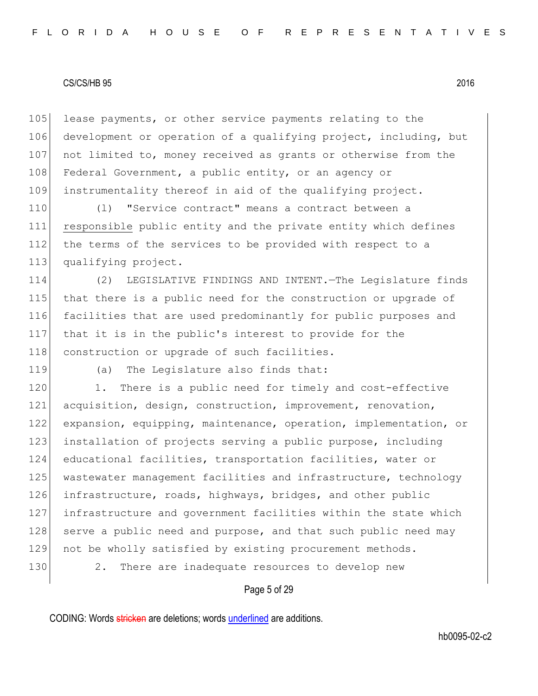105 lease payments, or other service payments relating to the 106 development or operation of a qualifying project, including, but 107 not limited to, money received as grants or otherwise from the 108 Federal Government, a public entity, or an agency or 109 instrumentality thereof in aid of the qualifying project.

110 (l) "Service contract" means a contract between a 111 responsible public entity and the private entity which defines 112 the terms of the services to be provided with respect to a 113 qualifying project.

 (2) LEGISLATIVE FINDINGS AND INTENT.—The Legislature finds that there is a public need for the construction or upgrade of facilities that are used predominantly for public purposes and that it is in the public's interest to provide for the 118 construction or upgrade of such facilities.

119 (a) The Legislature also finds that:

120 1. There is a public need for timely and cost-effective 121 acquisition, design, construction, improvement, renovation, 122 expansion, equipping, maintenance, operation, implementation, or 123 installation of projects serving a public purpose, including 124 educational facilities, transportation facilities, water or 125 wastewater management facilities and infrastructure, technology 126 infrastructure, roads, highways, bridges, and other public 127 infrastructure and government facilities within the state which 128 serve a public need and purpose, and that such public need may 129 not be wholly satisfied by existing procurement methods. 130 2. There are inadequate resources to develop new

### Page 5 of 29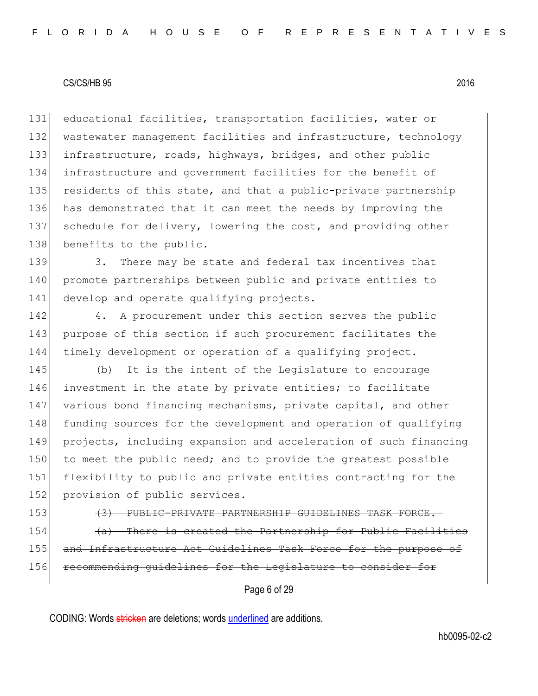131 educational facilities, transportation facilities, water or 132 wastewater management facilities and infrastructure, technology 133 infrastructure, roads, highways, bridges, and other public 134 infrastructure and government facilities for the benefit of 135 residents of this state, and that a public-private partnership 136 has demonstrated that it can meet the needs by improving the 137 schedule for delivery, lowering the cost, and providing other 138 benefits to the public.

139 3. There may be state and federal tax incentives that 140 promote partnerships between public and private entities to 141 develop and operate qualifying projects.

142 4. A procurement under this section serves the public 143 purpose of this section if such procurement facilitates the 144 timely development or operation of a qualifying project.

145 (b) It is the intent of the Legislature to encourage 146 investment in the state by private entities; to facilitate 147 various bond financing mechanisms, private capital, and other 148 funding sources for the development and operation of qualifying 149 projects, including expansion and acceleration of such financing 150 to meet the public need; and to provide the greatest possible 151 flexibility to public and private entities contracting for the 152 provision of public services.

153 **(3) PUBLIC-PRIVATE PARTNERSHIP GUIDELINES TASK FORCE.**  $154$  (a) There is created the Partnership for Public Facilities 155| and Infrastructure Act Guidelines Task Force for the purpose of 156 recommending quidelines for the Legislature to conside

Page 6 of 29

CODING: Words stricken are deletions; words underlined are additions.

hb0095-02-c2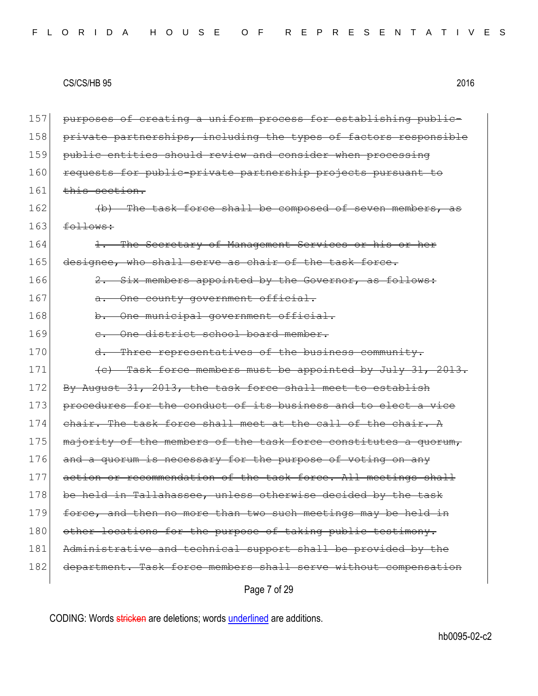157 purposes of creating a uniform process for establishing public-158 private partnerships, including the types of factors responsible 159 public entities should review and consider when processing 160 requests for public-private partnership projects pursuant  $161$  this section.  $162$  (b) The task force shall be composed of seven members,  $163$  follows: 164 1. The Secretary of Management Services or his or her 165 designee, who shall serve as chair of the task force. 166  $\overline{2.}$  Six members appointed by the Governor, as follows: 167 a. One county government official. 168 b. One municipal government official. 169 c. One district school board member. 170 d. Three representatives of the business community. 171  $\left\{\left(e\right)\right\}$  Task force members must be appointed by July 31, 2013. 172 By August 31, 2013, the task force shall meet to establish 173 procedures for the conduct of its business and to elect a vice 174 chair. The task force shall meet at the call of the chair.  $A$ 175 majority of the members of the task force constitutes a quorum, 176 and a quorum is necessary for the purpose of voting on any 177 action or recommendation of the task force. All meetings shall 178 be held in Tallahassee, unless otherwise decided by the task 179 force, and then no more than two such meetings may be held in 180 other locations for the purpose of taking public testimony. 181 Administrative and technical support shall be provided by the 182 department. Task force members shall serve without compensation

Page 7 of 29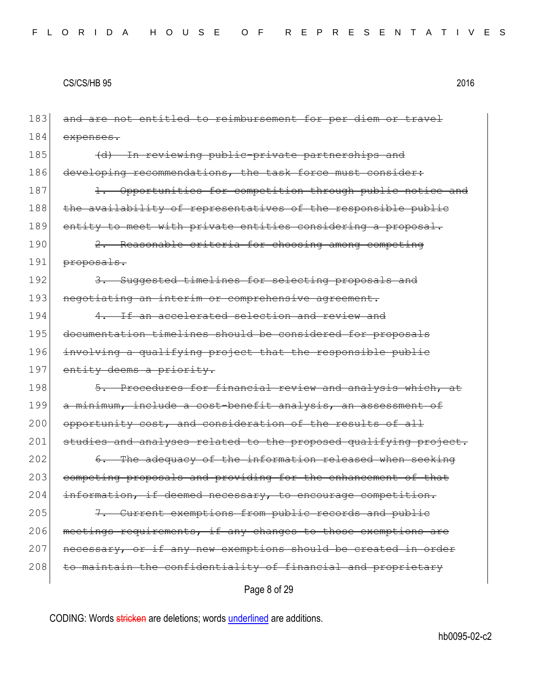| 183 | and are not entitled to reimbursement for per diem or travel          |
|-----|-----------------------------------------------------------------------|
| 184 | expenses.                                                             |
| 185 | <u>In reviewing public-private partnerships and</u><br>$\overline{a}$ |
| 186 | developing recommendations, the task force must consider:             |
| 187 | 1. Opportunities for competition through public notice and            |
| 188 | the availability of representatives of the responsible public         |
| 189 | entity to meet with private entities considering a proposal.          |
| 190 | 2. Reasonable criteria for choosing among competing                   |
| 191 | proposals.                                                            |
| 192 | Suggested timelines for selecting proposals and                       |
| 193 | negotiating an interim or comprehensive agreement.                    |
| 194 | 4. If an accelerated selection and review and                         |
| 195 | documentation timelines should be considered for proposals            |
| 196 | involving a qualifying project that the responsible public            |
| 197 | entity deems a priority.                                              |
| 198 | 5. Procedures for financial review and analysis which, at             |
| 199 | a minimum, include a cost-benefit analysis, an assessment of          |
| 200 | opportunity cost, and consideration of the results of all             |
| 201 | studies and analyses related to the proposed qualifying project.      |
| 202 | 6. The adequacy of the information released when seeking              |
| 203 | competing proposals and providing for the enhancement of that         |
| 204 | information, if deemed necessary, to encourage competition.           |
| 205 | Current exemptions from public records and public                     |
| 206 | meetings requirements, if any changes to those exemptions are         |
| 207 | necessary, or if any new exemptions should be created in order        |
| 208 | to maintain the confidentiality of financial and proprietary          |
|     | Page 8 of 29                                                          |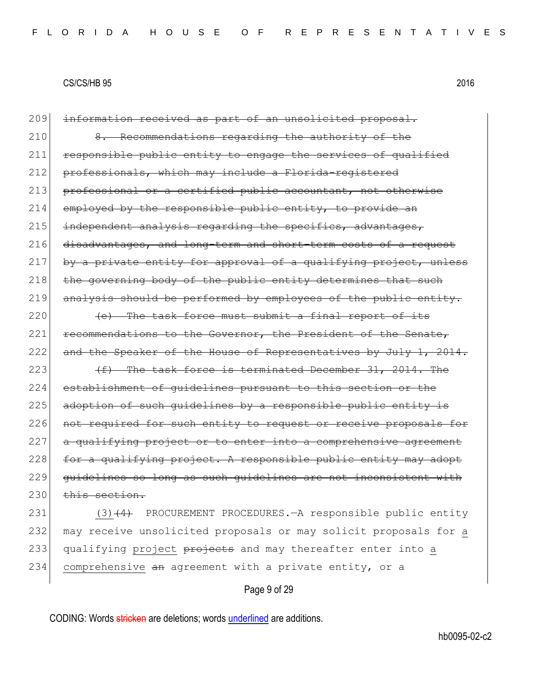209 information received as part of an unsolicited proposal. 210 8. Recommendations regarding the authority of the 211 responsible public entity to engage the services of qualified 212 professionals, which may include a Florida-registered 213 professional or a certified public accountant, not otherwise 214 employed by the responsible public entity, to provide an  $215$  independent analysis regarding the specifics, advantages, 216 disadvantages, and long-term and short-term costs of a request  $217$  by a private entity for approval of a qualifying project, unless  $218$  the governing body of the public entity determines that such 219 analysis should be performed by employees of the public entity.  $220$  (e) The task force must submit a final report of its

221 recommendations to the Governor, the President of the Senate, 222 and the Speaker of the House of Representatives by July 1, 2014.

 $223$   $(f)$  The task force is terminated December 31, 2014. The 224 establishment of guidelines pursuant to this section or the 225 adoption of such quidelines by a responsible public entity is 226 not required for such entity to request or receive proposals for  $227$  a qualifying project or to enter into a comprehensive agreement 228 for a qualifying project. A responsible public entity may adopt 229 guidelines so long as such guidelines are not inconsistent with  $230$  this section.

231 (3)<del>(4)</del> PROCUREMENT PROCEDURES.—A responsible public entity 232 may receive unsolicited proposals or may solicit proposals for a 233| qualifying project projects and may thereafter enter into a 234 comprehensive an agreement with a private entity, or a

Page 9 of 29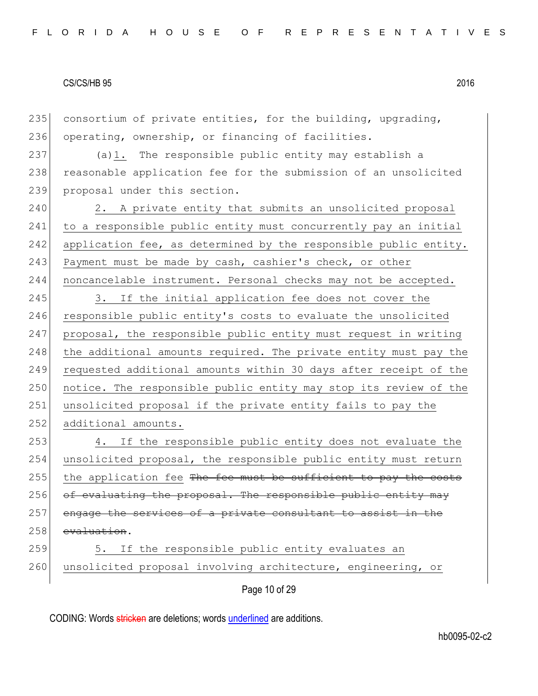235 consortium of private entities, for the building, upgrading, 236 operating, ownership, or financing of facilities.

237 (a)1. The responsible public entity may establish a 238 reasonable application fee for the submission of an unsolicited 239 proposal under this section.

240 2. A private entity that submits an unsolicited proposal 241 to a responsible public entity must concurrently pay an initial 242 application fee, as determined by the responsible public entity. 243 Payment must be made by cash, cashier's check, or other 244 noncancelable instrument. Personal checks may not be accepted.

245 3. If the initial application fee does not cover the 246 responsible public entity's costs to evaluate the unsolicited 247 proposal, the responsible public entity must request in writing 248 the additional amounts required. The private entity must pay the 249 requested additional amounts within 30 days after receipt of the 250 notice. The responsible public entity may stop its review of the 251 unsolicited proposal if the private entity fails to pay the 252 additional amounts.

253 4. If the responsible public entity does not evaluate the 254 unsolicited proposal, the responsible public entity must return 255 the application fee The fee must be sufficient to pay the costs  $256$  of evaluating the proposal. The responsible public entity may 257 engage the services of a private consultant to assist in the 258 evaluation.

259 5. If the responsible public entity evaluates an 260 unsolicited proposal involving architecture, engineering, or

Page 10 of 29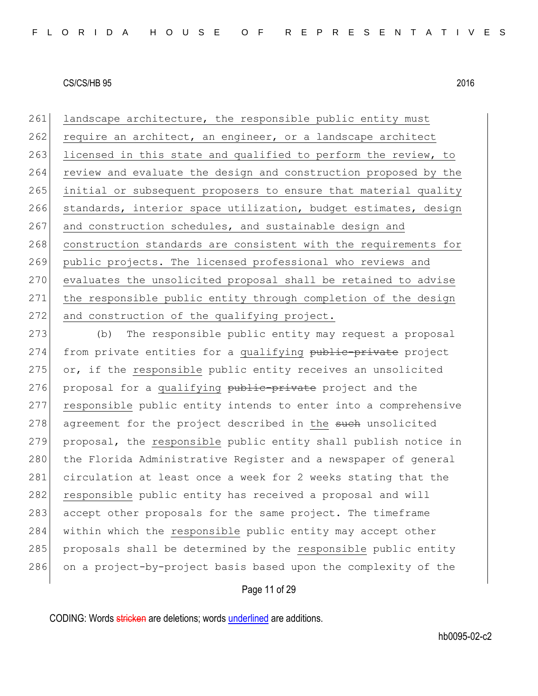261 landscape architecture, the responsible public entity must 262 require an architect, an engineer, or a landscape architect 263 licensed in this state and qualified to perform the review, to 264 review and evaluate the design and construction proposed by the 265 initial or subsequent proposers to ensure that material quality 266 standards, interior space utilization, budget estimates, design 267 and construction schedules, and sustainable design and 268 construction standards are consistent with the requirements for 269 public projects. The licensed professional who reviews and 270 evaluates the unsolicited proposal shall be retained to advise 271 the responsible public entity through completion of the design 272 and construction of the qualifying project.

273 (b) The responsible public entity may request a proposal 274 from private entities for a qualifying public-private project 275  $\sigma$ , if the responsible public entity receives an unsolicited 276 proposal for a qualifying public-private project and the 277 responsible public entity intends to enter into a comprehensive 278 agreement for the project described in the such unsolicited 279 proposal, the responsible public entity shall publish notice in 280 the Florida Administrative Register and a newspaper of general 281 circulation at least once a week for 2 weeks stating that the 282 responsible public entity has received a proposal and will 283 accept other proposals for the same project. The timeframe 284 | within which the responsible public entity may accept other 285 proposals shall be determined by the responsible public entity 286 on a project-by-project basis based upon the complexity of the

## Page 11 of 29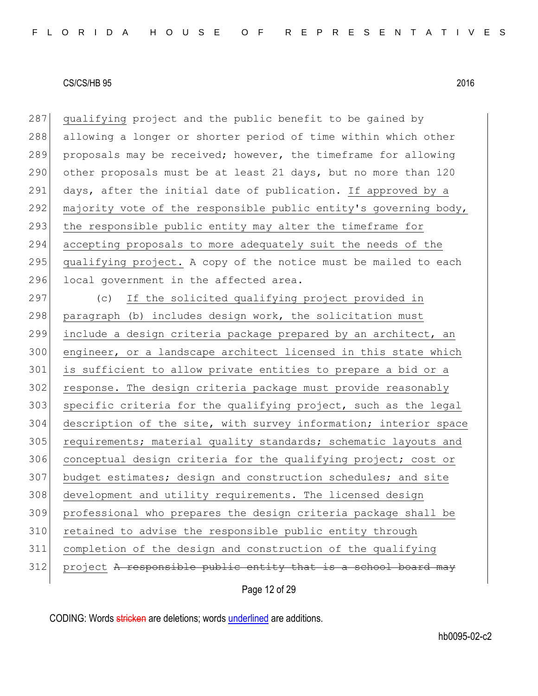287 qualifying project and the public benefit to be gained by 288 allowing a longer or shorter period of time within which other 289 proposals may be received; however, the timeframe for allowing 290 other proposals must be at least 21 days, but no more than 120 291 days, after the initial date of publication. If approved by a 292 majority vote of the responsible public entity's governing body, 293 the responsible public entity may alter the timeframe for 294 accepting proposals to more adequately suit the needs of the 295 qualifying project. A copy of the notice must be mailed to each 296 local government in the affected area.

 (c) If the solicited qualifying project provided in 298 paragraph (b) includes design work, the solicitation must include a design criteria package prepared by an architect, an engineer, or a landscape architect licensed in this state which is sufficient to allow private entities to prepare a bid or a response. The design criteria package must provide reasonably specific criteria for the qualifying project, such as the legal description of the site, with survey information; interior space 305 requirements; material quality standards; schematic layouts and 306 conceptual design criteria for the qualifying project; cost or budget estimates; design and construction schedules; and site development and utility requirements. The licensed design professional who prepares the design criteria package shall be 310 retained to advise the responsible public entity through completion of the design and construction of the qualifying project A responsible public entity that is a school

Page 12 of 29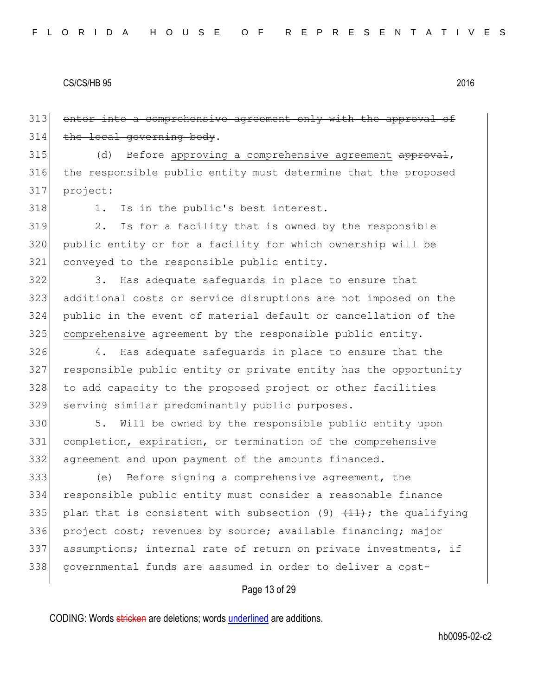313 enter into a comprehensive agreement only with the approval of 314 the local governing body.

 $315$  (d) Before approving a comprehensive agreement approval, 316 the responsible public entity must determine that the proposed 317 project:

318 1. Is in the public's best interest.

319 2. Is for a facility that is owned by the responsible 320 public entity or for a facility for which ownership will be 321 conveyed to the responsible public entity.

322 3. Has adequate safeguards in place to ensure that additional costs or service disruptions are not imposed on the public in the event of material default or cancellation of the comprehensive agreement by the responsible public entity.

326 4. Has adequate safeguards in place to ensure that the 327 responsible public entity or private entity has the opportunity 328 to add capacity to the proposed project or other facilities 329 serving similar predominantly public purposes.

330 5. Will be owned by the responsible public entity upon 331 completion, expiration, or termination of the comprehensive 332| agreement and upon payment of the amounts financed.

 (e) Before signing a comprehensive agreement, the responsible public entity must consider a reasonable finance 335 plan that is consistent with subsection (9)  $\{11\}$ ; the qualifying 336 project cost; revenues by source; available financing; major assumptions; internal rate of return on private investments, if governmental funds are assumed in order to deliver a cost-

## Page 13 of 29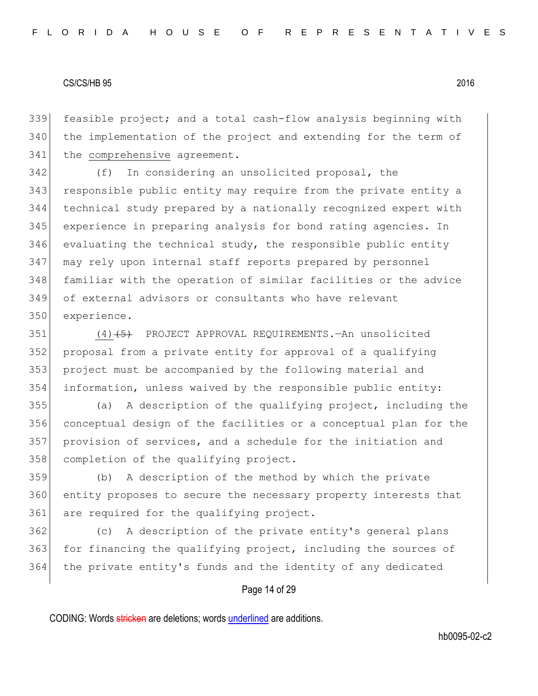feasible project; and a total cash-flow analysis beginning with the implementation of the project and extending for the term of 341 the comprehensive agreement.

 (f) In considering an unsolicited proposal, the responsible public entity may require from the private entity a technical study prepared by a nationally recognized expert with experience in preparing analysis for bond rating agencies. In evaluating the technical study, the responsible public entity 347 may rely upon internal staff reports prepared by personnel familiar with the operation of similar facilities or the advice of external advisors or consultants who have relevant experience.

351 (4)<del>(5)</del> PROJECT APPROVAL REQUIREMENTS.—An unsolicited proposal from a private entity for approval of a qualifying project must be accompanied by the following material and information, unless waived by the responsible public entity:

 (a) A description of the qualifying project, including the conceptual design of the facilities or a conceptual plan for the provision of services, and a schedule for the initiation and 358 completion of the qualifying project.

 (b) A description of the method by which the private entity proposes to secure the necessary property interests that 361 are required for the qualifying project.

 (c) A description of the private entity's general plans 363 for financing the qualifying project, including the sources of the private entity's funds and the identity of any dedicated

## Page 14 of 29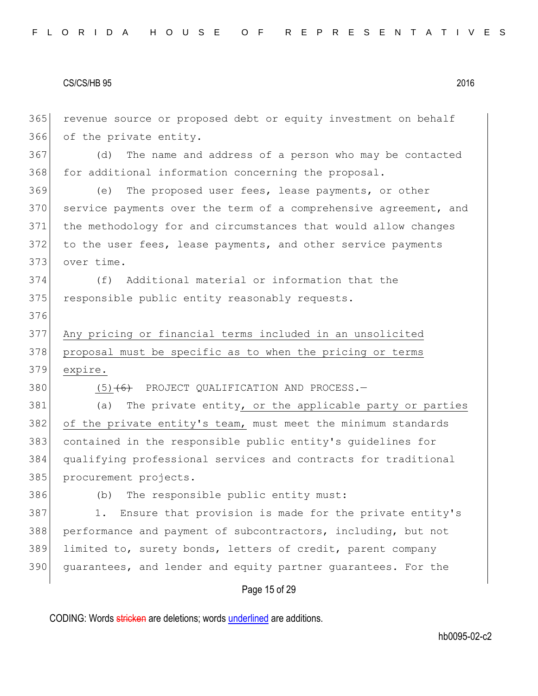Page 15 of 29 365 revenue source or proposed debt or equity investment on behalf 366 of the private entity. 367 (d) The name and address of a person who may be contacted 368 for additional information concerning the proposal. 369 (e) The proposed user fees, lease payments, or other 370 service payments over the term of a comprehensive agreement, and 371 the methodology for and circumstances that would allow changes 372 to the user fees, lease payments, and other service payments 373 over time. 374 (f) Additional material or information that the 375 responsible public entity reasonably requests. 376 377 Any pricing or financial terms included in an unsolicited 378 proposal must be specific as to when the pricing or terms 379 expire. 380 (5)<del>(6)</del> PROJECT QUALIFICATION AND PROCESS. 381 (a) The private entity, or the applicable party or parties 382 of the private entity's team, must meet the minimum standards 383 contained in the responsible public entity's guidelines for 384 qualifying professional services and contracts for traditional 385 procurement projects. 386 (b) The responsible public entity must: 387 1. Ensure that provision is made for the private entity's 388 performance and payment of subcontractors, including, but not 389 limited to, surety bonds, letters of credit, parent company 390 guarantees, and lender and equity partner guarantees. For the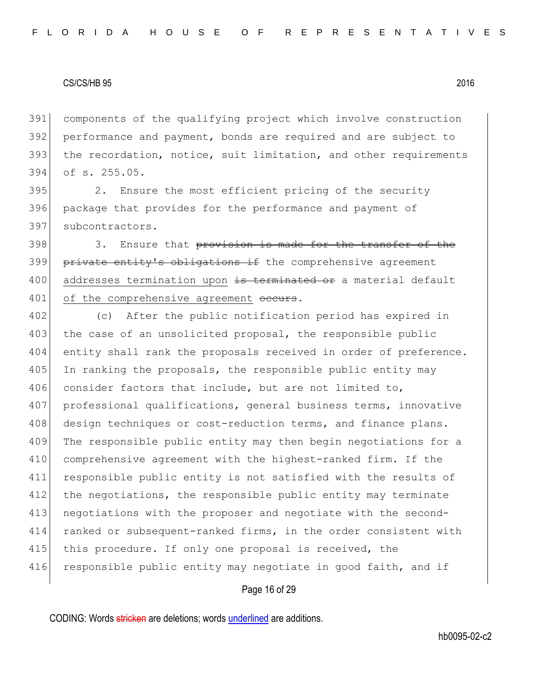components of the qualifying project which involve construction performance and payment, bonds are required and are subject to 393 the recordation, notice, suit limitation, and other requirements of s. 255.05.

395 2. Ensure the most efficient pricing of the security 396 package that provides for the performance and payment of 397 subcontractors.

398 308 3. Ensure that provision is made for the transfer of the 399 private entity's obligations if the comprehensive agreement 400 addresses termination upon is terminated or a material default 401 of the comprehensive agreement occurs.

402 (c) After the public notification period has expired in 403 the case of an unsolicited proposal, the responsible public 404 entity shall rank the proposals received in order of preference. 405 In ranking the proposals, the responsible public entity may 406 consider factors that include, but are not limited to, 407 professional qualifications, general business terms, innovative 408 design techniques or cost-reduction terms, and finance plans. 409 The responsible public entity may then begin negotiations for a 410 comprehensive agreement with the highest-ranked firm. If the 411 responsible public entity is not satisfied with the results of 412 the negotiations, the responsible public entity may terminate 413 negotiations with the proposer and negotiate with the second-414 ranked or subsequent-ranked firms, in the order consistent with 415 this procedure. If only one proposal is received, the 416 responsible public entity may negotiate in good faith, and if

## Page 16 of 29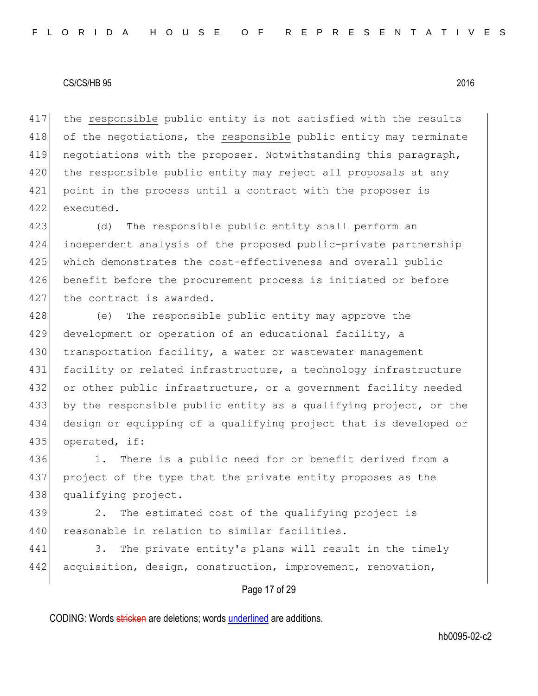417 the responsible public entity is not satisfied with the results 418 of the negotiations, the responsible public entity may terminate 419 negotiations with the proposer. Notwithstanding this paragraph, 420 the responsible public entity may reject all proposals at any 421 point in the process until a contract with the proposer is 422 executed.

423 (d) The responsible public entity shall perform an 424 independent analysis of the proposed public-private partnership 425 which demonstrates the cost-effectiveness and overall public 426 benefit before the procurement process is initiated or before 427 the contract is awarded.

428 (e) The responsible public entity may approve the 429 development or operation of an educational facility, a 430 transportation facility, a water or wastewater management 431 facility or related infrastructure, a technology infrastructure 432 or other public infrastructure, or a government facility needed 433 by the responsible public entity as a qualifying project, or the 434 design or equipping of a qualifying project that is developed or 435 operated, if:

436 1. There is a public need for or benefit derived from a 437 project of the type that the private entity proposes as the 438 qualifying project.

439 2. The estimated cost of the qualifying project is 440 reasonable in relation to similar facilities.

441 3. The private entity's plans will result in the timely 442 acquisition, design, construction, improvement, renovation,

## Page 17 of 29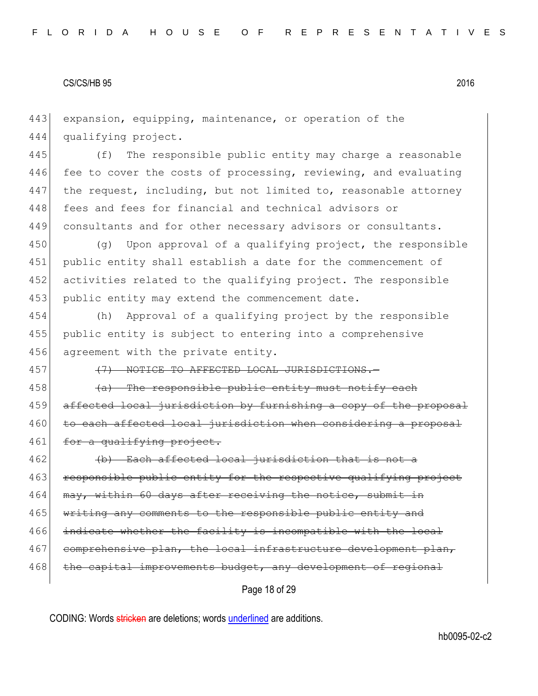443 expansion, equipping, maintenance, or operation of the 444 qualifying project.

445 (f) The responsible public entity may charge a reasonable 446 fee to cover the costs of processing, reviewing, and evaluating 447 the request, including, but not limited to, reasonable attorney 448 fees and fees for financial and technical advisors or 449 consultants and for other necessary advisors or consultants.

 $450$  (q) Upon approval of a qualifying project, the responsible 451 public entity shall establish a date for the commencement of 452 activities related to the qualifying project. The responsible 453 public entity may extend the commencement date.

454 (h) Approval of a qualifying project by the responsible 455 public entity is subject to entering into a comprehensive 456 agreement with the private entity.

457 (7) NOTICE TO AFFECTED LOCAL JURISDICTIONS.

 $458$  (a) The responsible public entity must notify each 459 affected local jurisdiction by furnishing a copy of the proposal 460 to each affected local jurisdiction when considering a proposal 461 for a qualifying project.

462 (b) Each affected local jurisdiction that is not a 463 responsible public entity for the respective qualifying project 464 may, within 60 days after receiving the notice, submit in 465 writing any comments to the responsible public entity and 466 indicate whether the facility is incompatible with the local 467 comprehensive plan, the local infrastructure development plan, 468 the capital improvements budget, any development of regional

Page 18 of 29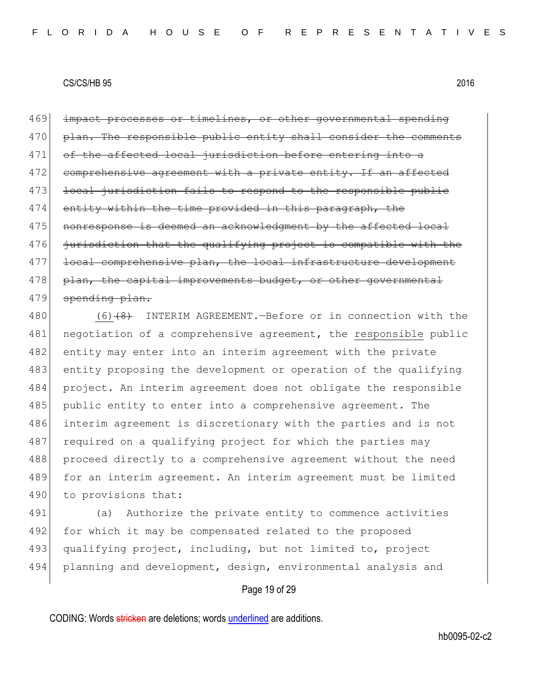469 impact processes or timelines, or other governmental spending 470 plan. The responsible public entity shall consider the comments 471 of the affected local jurisdiction before entering into a 472 comprehensive agreement with a private entity. If an affected 473 local jurisdiction fails to respond to the responsible public 474 entity within the time provided in this paragraph, the 475 | nonresponse is deemed an acknowledgment by the affected local 476 jurisdiction that the qualifying project is compatible with the 477 local comprehensive plan, the local infrastructure development 478 plan, the capital improvements budget, or other governmental 479 spending plan.

480 (6)<del>(8)</del> INTERIM AGREEMENT.—Before or in connection with the 481 negotiation of a comprehensive agreement, the responsible public 482 entity may enter into an interim agreement with the private 483 entity proposing the development or operation of the qualifying 484 project. An interim agreement does not obligate the responsible 485 public entity to enter into a comprehensive agreement. The 486 interim agreement is discretionary with the parties and is not 487 required on a qualifying project for which the parties may 488 proceed directly to a comprehensive agreement without the need 489 for an interim agreement. An interim agreement must be limited 490 to provisions that:

491 (a) Authorize the private entity to commence activities 492 for which it may be compensated related to the proposed 493 qualifying project, including, but not limited to, project 494 planning and development, design, environmental analysis and

## Page 19 of 29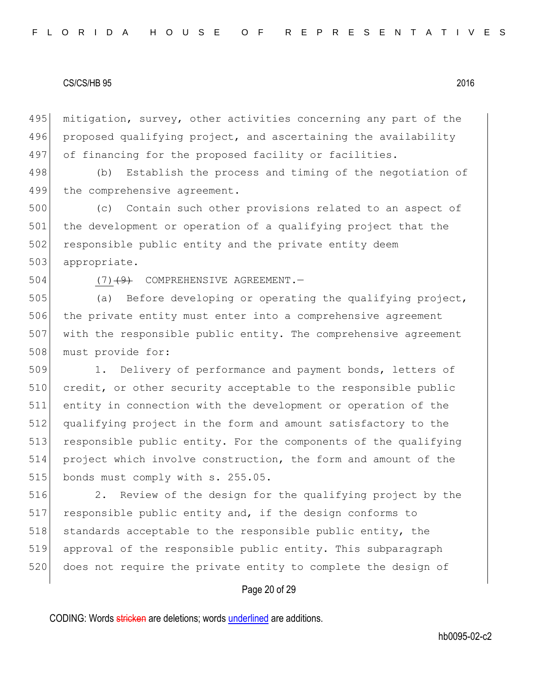495 mitigation, survey, other activities concerning any part of the 496 proposed qualifying project, and ascertaining the availability 497 of financing for the proposed facility or facilities.

498 (b) Establish the process and timing of the negotiation of 499 the comprehensive agreement.

500 (c) Contain such other provisions related to an aspect of 501 the development or operation of a qualifying project that the 502 responsible public entity and the private entity deem 503 appropriate.

504 (7)<del>(9)</del> COMPREHENSIVE AGREEMENT.

505 (a) Before developing or operating the qualifying project, 506 the private entity must enter into a comprehensive agreement 507 with the responsible public entity. The comprehensive agreement 508 must provide for:

509 1. Delivery of performance and payment bonds, letters of 510 credit, or other security acceptable to the responsible public 511 entity in connection with the development or operation of the 512 qualifying project in the form and amount satisfactory to the 513 responsible public entity. For the components of the qualifying 514 project which involve construction, the form and amount of the 515 bonds must comply with s. 255.05.

516 2. Review of the design for the qualifying project by the 517 responsible public entity and, if the design conforms to 518 standards acceptable to the responsible public entity, the 519 approval of the responsible public entity. This subparagraph 520 does not require the private entity to complete the design of

## Page 20 of 29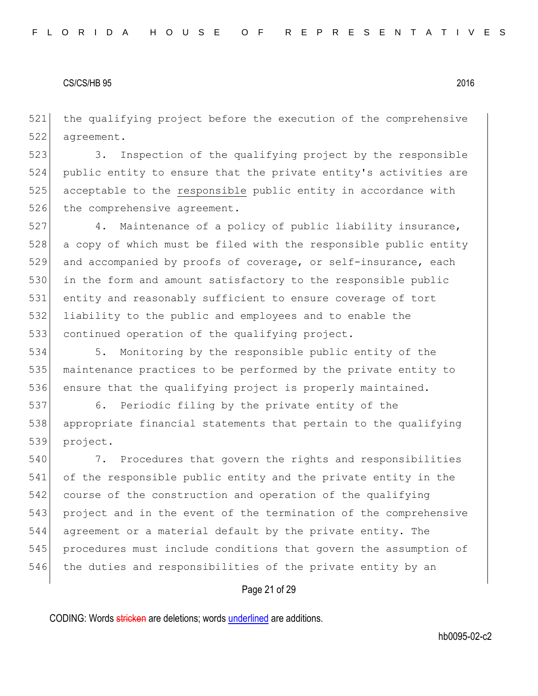the qualifying project before the execution of the comprehensive agreement.

523 3. Inspection of the qualifying project by the responsible public entity to ensure that the private entity's activities are acceptable to the responsible public entity in accordance with 526 the comprehensive agreement.

527 4. Maintenance of a policy of public liability insurance, a copy of which must be filed with the responsible public entity and accompanied by proofs of coverage, or self-insurance, each 530 in the form and amount satisfactory to the responsible public entity and reasonably sufficient to ensure coverage of tort liability to the public and employees and to enable the 533 continued operation of the qualifying project.

 5. Monitoring by the responsible public entity of the maintenance practices to be performed by the private entity to 536 ensure that the qualifying project is properly maintained.

 6. Periodic filing by the private entity of the appropriate financial statements that pertain to the qualifying project.

 7. Procedures that govern the rights and responsibilities of the responsible public entity and the private entity in the course of the construction and operation of the qualifying project and in the event of the termination of the comprehensive agreement or a material default by the private entity. The procedures must include conditions that govern the assumption of 546 the duties and responsibilities of the private entity by an

## Page 21 of 29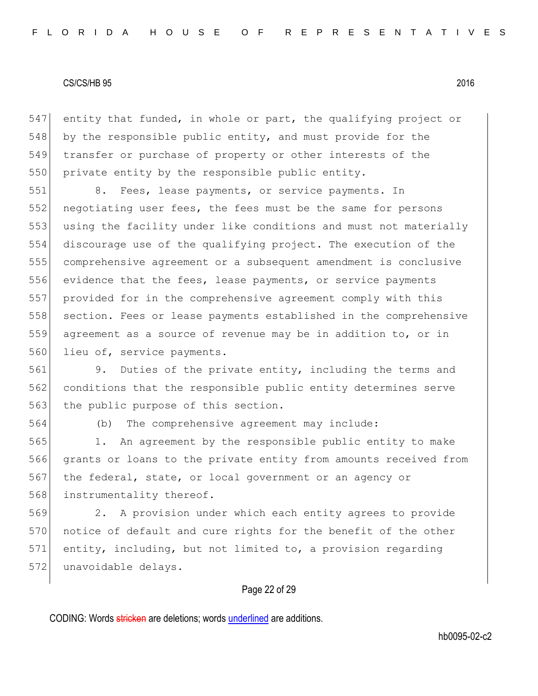547 entity that funded, in whole or part, the qualifying project or 548 by the responsible public entity, and must provide for the 549 transfer or purchase of property or other interests of the 550 private entity by the responsible public entity.

551 8. Fees, lease payments, or service payments. In 552 negotiating user fees, the fees must be the same for persons 553 using the facility under like conditions and must not materially 554 discourage use of the qualifying project. The execution of the 555 comprehensive agreement or a subsequent amendment is conclusive 556 evidence that the fees, lease payments, or service payments 557 provided for in the comprehensive agreement comply with this 558 section. Fees or lease payments established in the comprehensive 559 agreement as a source of revenue may be in addition to, or in 560 lieu of, service payments.

561 9. Duties of the private entity, including the terms and 562 conditions that the responsible public entity determines serve 563 the public purpose of this section.

564 (b) The comprehensive agreement may include:

565 1. An agreement by the responsible public entity to make 566 grants or loans to the private entity from amounts received from 567 the federal, state, or local government or an agency or 568 instrumentality thereof.

569 2. A provision under which each entity agrees to provide 570 notice of default and cure rights for the benefit of the other 571 entity, including, but not limited to, a provision regarding 572 unavoidable delays.

## Page 22 of 29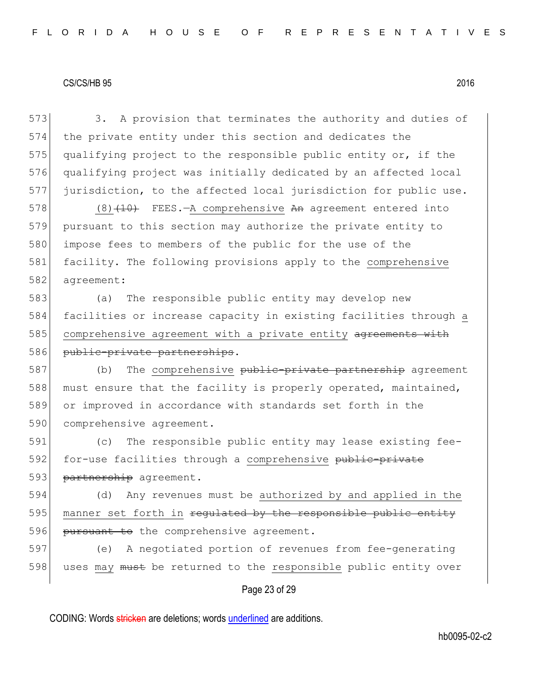| 573 | 3. A provision that terminates the authority and duties of       |
|-----|------------------------------------------------------------------|
| 574 | the private entity under this section and dedicates the          |
| 575 | qualifying project to the responsible public entity or, if the   |
| 576 | qualifying project was initially dedicated by an affected local  |
| 577 | jurisdiction, to the affected local jurisdiction for public use. |
| 578 | $(8)$ $(10)$ FEES.-A comprehensive An agreement entered into     |
| 579 | pursuant to this section may authorize the private entity to     |
| 580 | impose fees to members of the public for the use of the          |
| 581 | facility. The following provisions apply to the comprehensive    |
| 582 | agreement:                                                       |
| 583 | The responsible public entity may develop new<br>(a)             |
| 584 | facilities or increase capacity in existing facilities through a |
| 585 | comprehensive agreement with a private entity agreements with    |
| 586 | public-private partnerships.                                     |
| 587 | The comprehensive public-private partnership agreement<br>(b)    |
| 588 | must ensure that the facility is properly operated, maintained,  |
| 589 | or improved in accordance with standards set forth in the        |
| 590 | comprehensive agreement.                                         |
| 591 | The responsible public entity may lease existing fee-<br>(C)     |
| 592 | for-use facilities through a comprehensive public-private        |
| 593 | partnership agreement.                                           |
| 594 | Any revenues must be authorized by and applied in the<br>(d)     |
| 595 | manner set forth in regulated by the responsible public entity   |
| 596 | pursuant to the comprehensive agreement.                         |
| 597 | A negotiated portion of revenues from fee-generating<br>(e)      |
| 598 | uses may must be returned to the responsible public entity over  |
|     | Page 23 of 29                                                    |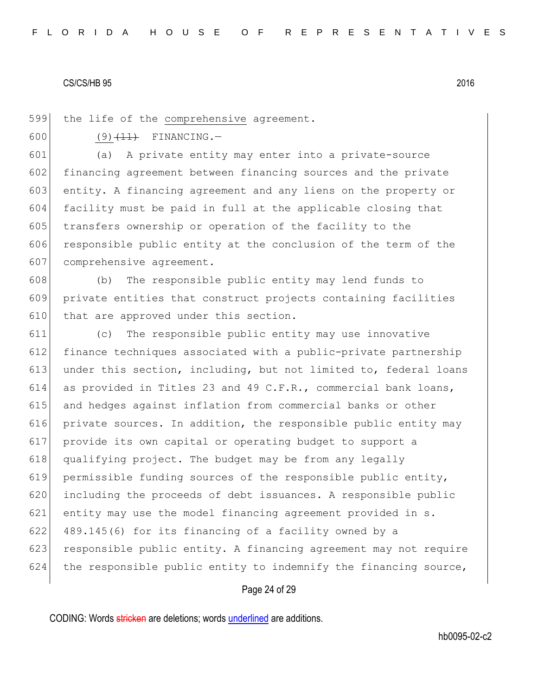599 the life of the comprehensive agreement.

600 (9)  $(11)$  FINANCING.

601 (a) A private entity may enter into a private-source 602 financing agreement between financing sources and the private 603 entity. A financing agreement and any liens on the property or 604 facility must be paid in full at the applicable closing that 605 transfers ownership or operation of the facility to the 606 responsible public entity at the conclusion of the term of the 607 comprehensive agreement.

608 (b) The responsible public entity may lend funds to 609 private entities that construct projects containing facilities 610 that are approved under this section.

611 (c) The responsible public entity may use innovative 612 finance techniques associated with a public-private partnership 613 under this section, including, but not limited to, federal loans 614 as provided in Titles 23 and 49 C.F.R., commercial bank loans, 615 and hedges against inflation from commercial banks or other 616 private sources. In addition, the responsible public entity may 617 provide its own capital or operating budget to support a 618 qualifying project. The budget may be from any legally 619 permissible funding sources of the responsible public entity, 620 including the proceeds of debt issuances. A responsible public 621 entity may use the model financing agreement provided in s. 622 489.145(6) for its financing of a facility owned by a 623 responsible public entity. A financing agreement may not require 624 the responsible public entity to indemnify the financing source,

## Page 24 of 29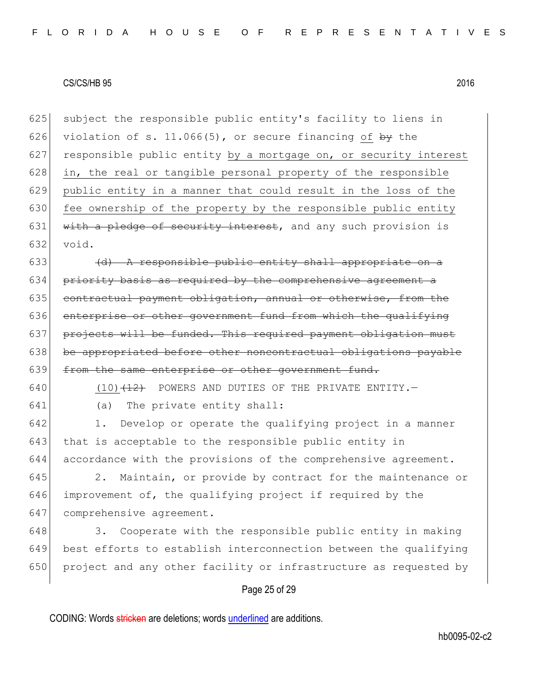625 subject the responsible public entity's facility to liens in 626 violation of s. 11.066(5), or secure financing of by the 627 responsible public entity by a mortgage on, or security interest 628 in, the real or tangible personal property of the responsible 629 public entity in a manner that could result in the loss of the 630 fee ownership of the property by the responsible public entity 631 with a pledge of security interest, and any such provision is 632 void.

633  $\left( d \right)$  A responsible public entity shall appropriate on a  $634$  priority basis as required by the comprehensive agreement a  $635$  contractual payment obligation, annual or otherwise, from the 636 enterprise or other government fund from which the qualifying 637 projects will be funded. This required payment obligation must 638 be appropriated before other noncontractual obligations payable 639 from the same enterprise or other government fund.

- 640 (10) $\left(12\right)$  POWERS AND DUTIES OF THE PRIVATE ENTITY.
- 641 (a) The private entity shall:

642 1. Develop or operate the qualifying project in a manner 643 that is acceptable to the responsible public entity in 644 accordance with the provisions of the comprehensive agreement.

645 2. Maintain, or provide by contract for the maintenance or 646 improvement of, the qualifying project if required by the 647 comprehensive agreement.

648 3. Cooperate with the responsible public entity in making 649 best efforts to establish interconnection between the qualifying 650 project and any other facility or infrastructure as requested by

## Page 25 of 29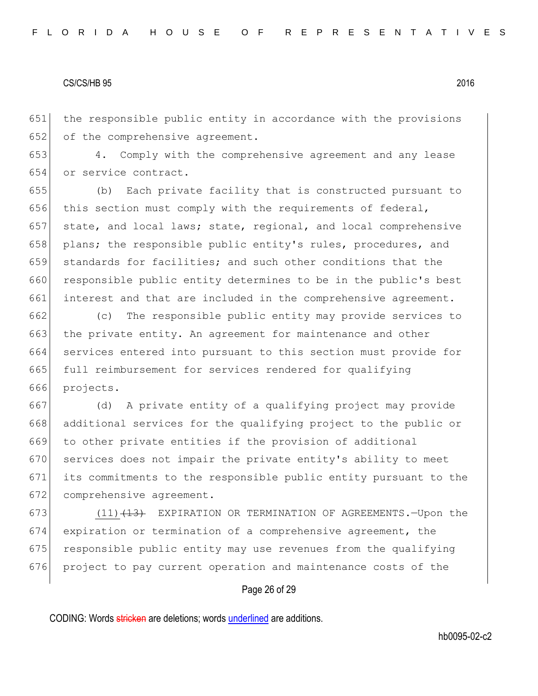651 the responsible public entity in accordance with the provisions 652 of the comprehensive agreement.

653 4. Comply with the comprehensive agreement and any lease 654 or service contract.

655 (b) Each private facility that is constructed pursuant to 656 this section must comply with the requirements of federal, 657 state, and local laws; state, regional, and local comprehensive 658 plans; the responsible public entity's rules, procedures, and 659 standards for facilities; and such other conditions that the 660 responsible public entity determines to be in the public's best 661 interest and that are included in the comprehensive agreement.

662 (c) The responsible public entity may provide services to 663 the private entity. An agreement for maintenance and other 664 services entered into pursuant to this section must provide for 665 full reimbursement for services rendered for qualifying 666 projects.

 (d) A private entity of a qualifying project may provide additional services for the qualifying project to the public or to other private entities if the provision of additional 670 services does not impair the private entity's ability to meet its commitments to the responsible public entity pursuant to the 672 comprehensive agreement.

 $(11)$   $(13)$  EXPIRATION OR TERMINATION OF AGREEMENTS. - Upon the expiration or termination of a comprehensive agreement, the 675 responsible public entity may use revenues from the qualifying project to pay current operation and maintenance costs of the

## Page 26 of 29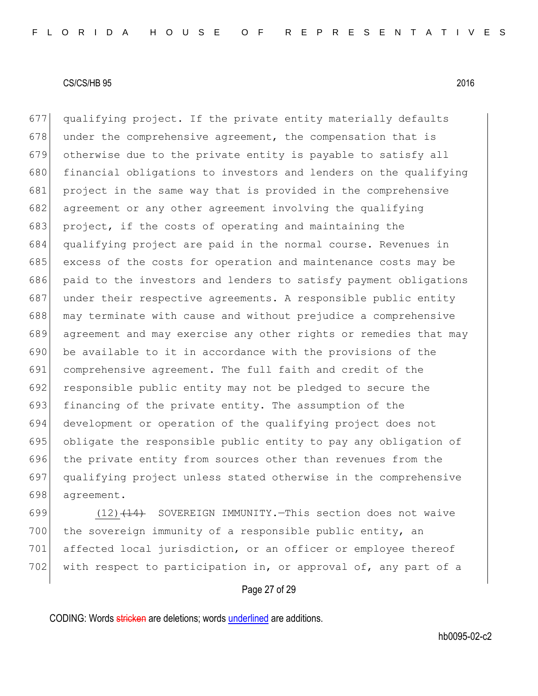qualifying project. If the private entity materially defaults under the comprehensive agreement, the compensation that is otherwise due to the private entity is payable to satisfy all 680 financial obligations to investors and lenders on the qualifying project in the same way that is provided in the comprehensive 682 agreement or any other agreement involving the qualifying project, if the costs of operating and maintaining the qualifying project are paid in the normal course. Revenues in 685 excess of the costs for operation and maintenance costs may be paid to the investors and lenders to satisfy payment obligations under their respective agreements. A responsible public entity may terminate with cause and without prejudice a comprehensive agreement and may exercise any other rights or remedies that may be available to it in accordance with the provisions of the comprehensive agreement. The full faith and credit of the 692 responsible public entity may not be pledged to secure the 693 financing of the private entity. The assumption of the development or operation of the qualifying project does not obligate the responsible public entity to pay any obligation of 696 the private entity from sources other than revenues from the qualifying project unless stated otherwise in the comprehensive agreement.

699  $(12)$   $(14)$  SOVEREIGN IMMUNITY. This section does not waive 700 the sovereign immunity of a responsible public entity, an 701 affected local jurisdiction, or an officer or employee thereof 702 with respect to participation in, or approval of, any part of a

## Page 27 of 29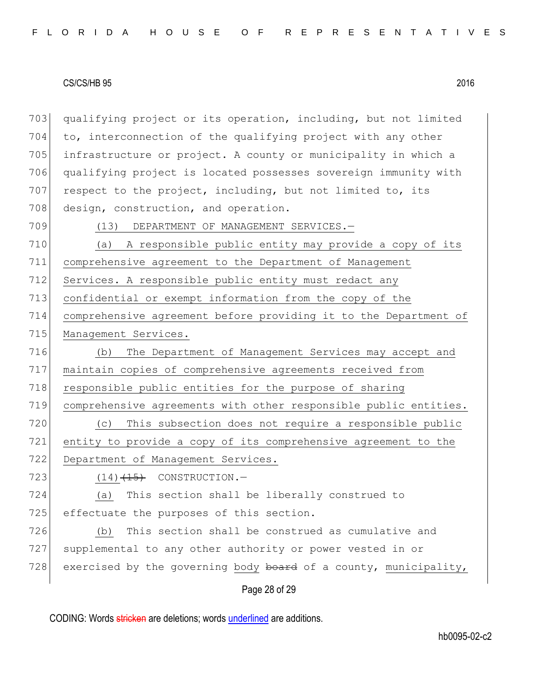qualifying project or its operation, including, but not limited to, interconnection of the qualifying project with any other infrastructure or project. A county or municipality in which a qualifying project is located possesses sovereign immunity with respect to the project, including, but not limited to, its 708 design, construction, and operation.

709 (13) DEPARTMENT OF MANAGEMENT SERVICES.-

 (a) A responsible public entity may provide a copy of its comprehensive agreement to the Department of Management 712 Services. A responsible public entity must redact any confidential or exempt information from the copy of the comprehensive agreement before providing it to the Department of 715 Management Services.

 (b) The Department of Management Services may accept and maintain copies of comprehensive agreements received from 718 responsible public entities for the purpose of sharing comprehensive agreements with other responsible public entities.

720 (c) This subsection does not require a responsible public 721 entity to provide a copy of its comprehensive agreement to the 722 Department of Management Services.

723  $(14)$   $(15)$  CONSTRUCTION.

724 (a) This section shall be liberally construed to 725 effectuate the purposes of this section.

726 (b) This section shall be construed as cumulative and 727 supplemental to any other authority or power vested in or 728 exercised by the governing body board of a county, municipality,

Page 28 of 29